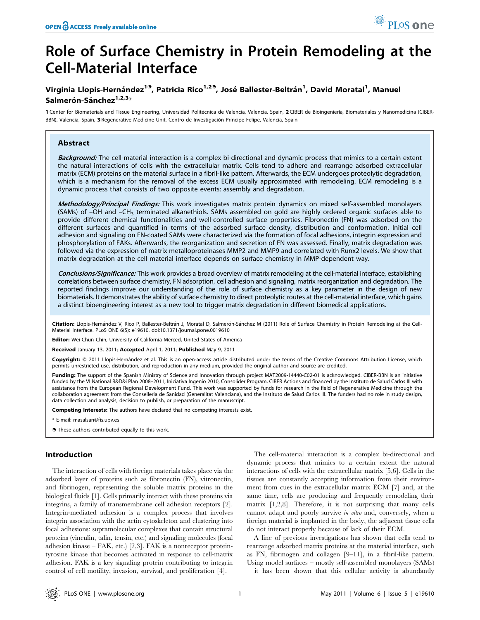# Role of Surface Chemistry in Protein Remodeling at the Cell-Material Interface

# Virginia Llopis-Hernández<sup>19</sup>, Patricia Rico<sup>1,29</sup>, José Ballester-Beltrán<sup>1</sup>, David Moratal<sup>1</sup>, Manuel Salmerón-Sánchez<sup>1,2,3</sup>\*

1 Center for Biomaterials and Tissue Engineering, Universidad Politécnica de Valencia, Valencia, Spain, 2 CIBER de Bioingeniería, Biomateriales y Nanomedicina (CIBER-BBN), Valencia, Spain, 3 Regenerative Medicine Unit, Centro de Investigación Príncipe Felipe, Valencia, Spain

# Abstract

Background: The cell-material interaction is a complex bi-directional and dynamic process that mimics to a certain extent the natural interactions of cells with the extracellular matrix. Cells tend to adhere and rearrange adsorbed extracellular matrix (ECM) proteins on the material surface in a fibril-like pattern. Afterwards, the ECM undergoes proteolytic degradation, which is a mechanism for the removal of the excess ECM usually approximated with remodeling. ECM remodeling is a dynamic process that consists of two opposite events: assembly and degradation.

Methodology/Principal Findings: This work investigates matrix protein dynamics on mixed self-assembled monolayers (SAMs) of  $-OH$  and  $-CH_3$  terminated alkanethiols. SAMs assembled on gold are highly ordered organic surfaces able to provide different chemical functionalities and well-controlled surface properties. Fibronectin (FN) was adsorbed on the different surfaces and quantified in terms of the adsorbed surface density, distribution and conformation. Initial cell adhesion and signaling on FN-coated SAMs were characterized via the formation of focal adhesions, integrin expression and phosphorylation of FAKs. Afterwards, the reorganization and secretion of FN was assessed. Finally, matrix degradation was followed via the expression of matrix metalloproteinases MMP2 and MMP9 and correlated with Runx2 levels. We show that matrix degradation at the cell material interface depends on surface chemistry in MMP-dependent way.

Conclusions/Significance: This work provides a broad overview of matrix remodeling at the cell-material interface, establishing correlations between surface chemistry, FN adsorption, cell adhesion and signaling, matrix reorganization and degradation. The reported findings improve our understanding of the role of surface chemistry as a key parameter in the design of new biomaterials. It demonstrates the ability of surface chemistry to direct proteolytic routes at the cell-material interface, which gains a distinct bioengineering interest as a new tool to trigger matrix degradation in different biomedical applications.

Citation: Llopis-Hernández V, Rico P, Ballester-Beltrán J, Moratal D, Salmerón-Sánchez M (2011) Role of Surface Chemistry in Protein Remodeling at the Cell-Material Interface. PLoS ONE 6(5): e19610. doi:10.1371/journal.pone.0019610

Editor: Wei-Chun Chin, University of California Merced, United States of America

Received January 13, 2011; Accepted April 1, 2011; Published May 9, 2011

Copyright: © 2011 Llopis-Hernández et al. This is an open-access article distributed under the terms of the Creative Commons Attribution License, which permits unrestricted use, distribution, and reproduction in any medium, provided the original author and source are credited.

Funding: The support of the Spanish Ministry of Science and Innovation through project MAT2009-14440-C02-01 is acknowledged. CIBER-BBN is an initiative funded by the VI National R&D&i Plan 2008–2011, Iniciativa Ingenio 2010, Consolider Program, CIBER Actions and financed by the Instituto de Salud Carlos III with assistance from the European Regional Development Fund. This work was supported by funds for research in the field of Regenerative Medicine through the collaboration agreement from the Conselleria de Sanidad (Generalitat Valenciana), and the Instituto de Salud Carlos III. The funders had no role in study design, data collection and analysis, decision to publish, or preparation of the manuscript.

Competing Interests: The authors have declared that no competing interests exist.

\* E-mail: masalsan@fis.upv.es

**These authors contributed equally to this work.** 

# Introduction

The interaction of cells with foreign materials takes place via the adsorbed layer of proteins such as fibronectin (FN), vitronectin, and fibrinogen, representing the soluble matrix proteins in the biological fluids [1]. Cells primarily interact with these proteins via integrins, a family of transmembrane cell adhesion receptors [2]. Integrin-mediated adhesion is a complex process that involves integrin association with the actin cytoskeleton and clustering into focal adhesions: supramolecular complexes that contain structural proteins (vinculin, talin, tensin, etc.) and signaling molecules (focal adhesion kinase – FAK, etc.) [2,3]. FAK is a nonreceptor proteintyrosine kinase that becomes activated in response to cell-matrix adhesion. FAK is a key signaling protein contributing to integrin control of cell motility, invasion, survival, and proliferation [4].

The cell-material interaction is a complex bi-directional and dynamic process that mimics to a certain extent the natural interactions of cells with the extracellular matrix [5,6]. Cells in the tissues are constantly accepting information from their environment from cues in the extracellular matrix ECM [7] and, at the same time, cells are producing and frequently remodeling their matrix [1,2,8]. Therefore, it is not surprising that many cells cannot adapt and poorly survive in vitro and, conversely, when a foreign material is implanted in the body, the adjacent tissue cells do not interact properly because of lack of their ECM.

A line of previous investigations has shown that cells tend to rearrange adsorbed matrix proteins at the material interface, such as FN, fibrinogen and collagen [9–11], in a fibril-like pattern. Using model surfaces – mostly self-assembled monolayers (SAMs) – it has been shown that this cellular activity is abundantly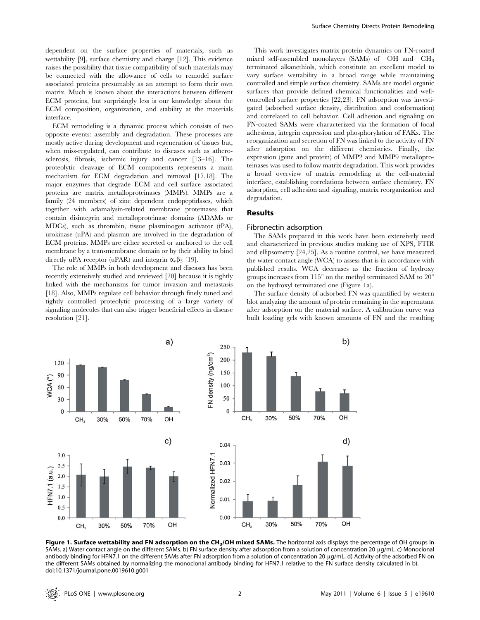dependent on the surface properties of materials, such as wettability [9], surface chemistry and charge [12]. This evidence raises the possibility that tissue compatibility of such materials may be connected with the allowance of cells to remodel surface associated proteins presumably as an attempt to form their own matrix. Much is known about the interactions between different ECM proteins, but surprisingly less is our knowledge about the ECM composition, organization, and stability at the materials interface.

ECM remodeling is a dynamic process which consists of two opposite events: assembly and degradation. These processes are mostly active during development and regeneration of tissues but, when miss-regulated, can contribute to diseases such as atherosclerosis, fibrosis, ischemic injury and cancer [13–16]. The proteolytic cleavage of ECM components represents a main mechanism for ECM degradation and removal [17,18]. The major enzymes that degrade ECM and cell surface associated proteins are matrix metalloproteinases (MMPs). MMPs are a family (24 members) of zinc dependent endopeptidases, which together with adamalysin-related membrane proteinases that contain disintegrin and metalloproteinase domains (ADAMs or MDCs), such as thrombin, tissue plasminogen activator (tPA), urokinase (uPA) and plasmin are involved in the degradation of ECM proteins. MMPs are either secreted or anchored to the cell membrane by a transmembrane domain or by their ability to bind directly uPA receptor (uPAR) and integrin  $\alpha_{\rm v} \beta_3$  [19].

The role of MMPs in both development and diseases has been recently extensively studied and reviewed [20] because it is tightly linked with the mechanisms for tumor invasion and metastasis [18]. Also, MMPs regulate cell behavior through finely tuned and tightly controlled proteolytic processing of a large variety of signaling molecules that can also trigger beneficial effects in disease resolution [21].

This work investigates matrix protein dynamics on FN-coated mixed self-assembled monolayers (SAMs) of  $-OH$  and  $-CH_3$ terminated alkanethiols, which constitute an excellent model to vary surface wettability in a broad range while maintaining controlled and simple surface chemistry. SAMs are model organic surfaces that provide defined chemical functionalities and wellcontrolled surface properties [22,23]. FN adsorption was investigated (adsorbed surface density, distribution and conformation) and correlated to cell behavior. Cell adhesion and signaling on FN-coated SAMs were characterized via the formation of focal adhesions, integrin expression and phosphorylation of FAKs. The reorganization and secretion of FN was linked to the activity of FN after adsorption on the different chemistries. Finally, the expression (gene and protein) of MMP2 and MMP9 metalloproteinases was used to follow matrix degradation. This work provides a broad overview of matrix remodeling at the cell-material interface, establishing correlations between surface chemistry, FN adsorption, cell adhesion and signaling, matrix reorganization and degradation.

# Results

# Fibronectin adsorption

The SAMs prepared in this work have been extensively used and characterized in previous studies making use of XPS, FTIR and ellipsometry [24,25]. As a routine control, we have measured the water contact angle (WCA) to assess that is in accordance with published results. WCA decreases as the fraction of hydroxy groups increases from 115 $^{\circ}$  on the methyl terminated SAM to 20 $^{\circ}$ on the hydroxyl terminated one (Figure 1a).

The surface density of adsorbed FN was quantified by western blot analyzing the amount of protein remaining in the supernatant after adsorption on the material surface. A calibration curve was built loading gels with known amounts of FN and the resulting



Figure 1. Surface wettability and FN adsorption on the CH<sub>3</sub>/OH mixed SAMs. The horizontal axis displays the percentage of OH groups in SAMs. a) Water contact angle on the different SAMs. b) FN surface density after adsorption from a solution of concentration 20 µg/mL. c) Monoclonal antibody binding for HFN7.1 on the different SAMs after FN adsorption from a solution of concentration 20 mg/mL. d) Activity of the adsorbed FN on the different SAMs obtained by normalizing the monoclonal antibody binding for HFN7.1 relative to the FN surface density calculated in b). doi:10.1371/journal.pone.0019610.g001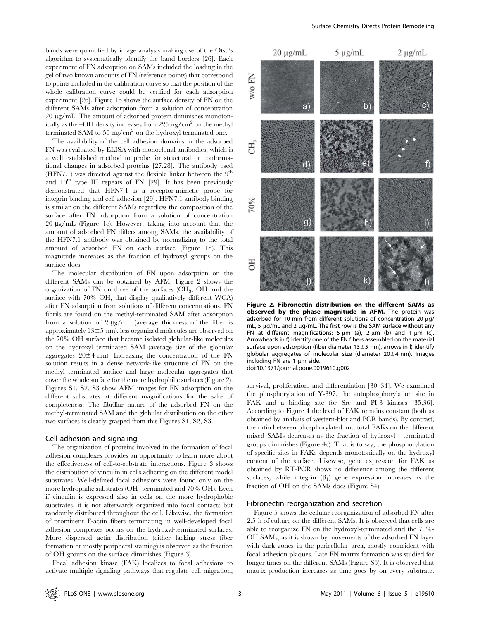bands were quantified by image analysis making use of the Otsu's algorithm to systematically identify the band borders [26]. Each experiment of FN adsorption on SAMs included the loading in the gel of two known amounts of FN (reference points) that correspond to points included in the calibration curve so that the position of the whole calibration curve could be verified for each adsorption experiment [26]. Figure 1b shows the surface density of FN on the different SAMs after adsorption from a solution of concentration  $20 \mu$ g/mL. The amount of adsorbed protein diminishes monotonically as the –OH density increases from 225 ng/cm<sup>2</sup> on the methyl terminated SAM to 50 ng/ $\text{cm}^2$  on the hydroxyl terminated one.

The availability of the cell adhesion domains in the adsorbed FN was evaluated by ELISA with monoclonal antibodies, which is a well established method to probe for structural or conformational changes in adsorbed proteins [27,28]. The antibody used  $(HFN7.1)$  was directed against the flexible linker between the 9<sup>th</sup> and  $10^{th}$  type III repeats of FN [29]. It has been previously demonstrated that HFN7.1 is a receptor-mimetic probe for integrin binding and cell adhesion [29]. HFN7.1 antibody binding is similar on the different SAMs regardless the composition of the surface after FN adsorption from a solution of concentration  $20 \mu$ g/mL (Figure 1c). However, taking into account that the amount of adsorbed FN differs among SAMs, the availability of the HFN7.1 antibody was obtained by normalizing to the total amount of adsorbed FN on each surface (Figure 1d). This magnitude increases as the fraction of hydroxyl groups on the surface does.

The molecular distribution of FN upon adsorption on the different SAMs can be obtained by AFM. Figure 2 shows the organization of FN on three of the surfaces (CH3, OH and the surface with 70% OH, that display qualitatively different WCA) after FN adsorption from solutions of different concentrations. FN fibrils are found on the methyl-terminated SAM after adsorption from a solution of  $2 \mu g/mL$  (average thickness of the fiber is approximately  $13\pm5$  nm), less organized molecules are observed on the 70% OH surface that became isolated globular-like molecules on the hydroxyl terminated SAM (average size of the globular aggregates  $20 \pm 4$  nm). Increasing the concentration of the FN solution results in a dense network-like structure of FN on the methyl terminated surface and large molecular aggregates that cover the whole surface for the more hydrophilic surfaces (Figure 2). Figures S1, S2, S3 show AFM images for FN adsorption on the different substrates at different magnifications for the sake of completeness. The fibrillar nature of the adsorbed FN on the methyl-terminated SAM and the globular distribution on the other two surfaces is clearly grasped from this Figures S1, S2, S3.

#### Cell adhesion and signaling

The organization of proteins involved in the formation of focal adhesion complexes provides an opportunity to learn more about the effectiveness of cell-to-substrate interactions. Figure 3 shows the distribution of vinculin in cells adhering on the different model substrates. Well-defined focal adhesions were found only on the more hydrophilic substrates (OH- terminated and 70% OH). Even if vinculin is expressed also in cells on the more hydrophobic substrates, it is not afterwards organized into focal contacts but randomly distributed throughout the cell. Likewise, the formation of prominent F-actin fibers terminating in well-developed focal adhesion complexes occurs on the hydroxyl-terminated surfaces. More dispersed actin distribution (either lacking stress fiber formation or mostly peripheral staining) is observed as the fraction of OH groups on the surface diminishes (Figure 3).

Focal adhesion kinase (FAK) localizes to focal adhesions to activate multiple signaling pathways that regulate cell migration,



Figure 2. Fibronectin distribution on the different SAMs as observed by the phase magnitude in AFM. The protein was adsorbed for 10 min from different solutions of concentration 20 µg/ mL, 5  $\mu$ g/mL and 2  $\mu$ g/mL. The first row is the SAM surface without any FN at different magnifications:  $5 \mu m$  (a),  $2 \mu m$  (b) and  $1 \mu m$  (c). Arrowheads in f) identify one of the FN fibers assembled on the material surface upon adsorption (fiber diameter  $13±5$  nm), arrows in l) identify globular aggregates of molecular size (diameter  $20 \pm 4$  nm). Images including FN are  $1 \mu m$  side.

doi:10.1371/journal.pone.0019610.g002

survival, proliferation, and differentiation [30–34]. We examined the phosphorylation of Y-397, the autophosphorylation site in FAK and a binding site for Src and PI-3 kinases [35,36]. According to Figure 4 the level of FAK remains constant (both as obtained by analysis of western-blot and PCR bands). By contrast, the ratio between phosphorylated and total FAKs on the different mixed SAMs decreases as the fraction of hydroxyl - terminated groups diminishes (Figure 4c). That is to say, the phosphorylation of specific sites in FAKs depends monotonically on the hydroxyl content of the surface. Likewise, gene expression for FAK as obtained by RT-PCR shows no difference among the different surfaces, while integrin  $(\beta_1)$  gene expression increases as the fraction of OH on the SAMs does (Figure S4).

#### Fibronectin reorganization and secretion

Figure 5 shows the cellular reorganization of adsorbed FN after 2.5 h of culture on the different SAMs. It is observed that cells are able to reorganize FN on the hydroxyl-terminated and the 70%- OH SAMs, as it is shown by movements of the adsorbed FN layer with dark zones in the pericellular area, mostly coincident with focal adhesion plaques. Late FN matrix formation was studied for longer times on the different SAMs (Figure S5). It is observed that matrix production increases as time goes by on every substrate.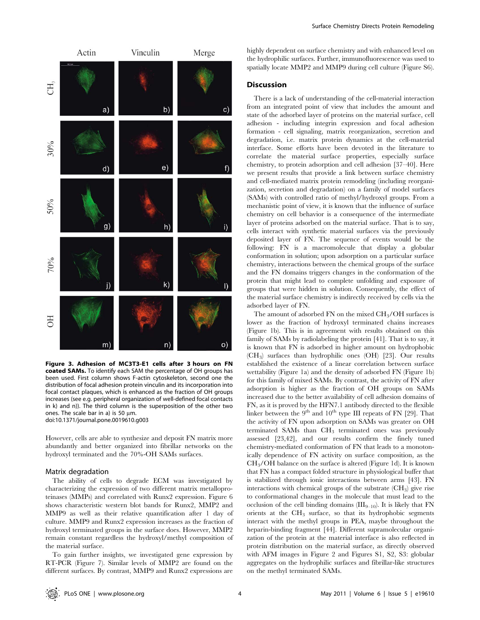

Figure 3. Adhesion of MC3T3-E1 cells after 3 hours on FN coated SAMs. To identify each SAM the percentage of OH groups has been used. First column shows F-actin cytoskeleton, second one the distribution of focal adhesion protein vinculin and its incorporation into focal contact plaques, which is enhanced as the fraction of OH groups increases (see e.g. peripheral organization of well-defined focal contacts in k) and n)). The third column is the superposition of the other two ones. The scale bar in a) is 50  $\mu$ m. doi:10.1371/journal.pone.0019610.g003

However, cells are able to synthesize and deposit FN matrix more abundantly and better organized into fibrillar networks on the hydroxyl terminated and the 70%-OH SAMs surfaces.

#### Matrix degradation

The ability of cells to degrade ECM was investigated by characterizing the expression of two different matrix metalloproteinases (MMPs) and correlated with Runx2 expression. Figure 6 shows characteristic western blot bands for Runx2, MMP2 and MMP9 as well as their relative quantification after 1 day of culture. MMP9 and Runx2 expression increases as the fraction of hydroxyl terminated groups in the surface does. However, MMP2 remain constant regardless the hydroxyl/methyl composition of the material surface.

To gain further insights, we investigated gene expression by RT-PCR (Figure 7). Similar levels of MMP2 are found on the different surfaces. By contrast, MMP9 and Runx2 expressions are highly dependent on surface chemistry and with enhanced level on the hydrophilic surfaces. Further, immunofluorescence was used to spatially locate MMP2 and MMP9 during cell culture (Figure S6).

# **Discussion**

There is a lack of understanding of the cell-material interaction from an integrated point of view that includes the amount and state of the adsorbed layer of proteins on the material surface, cell adhesion - including integrin expression and focal adhesion formation - cell signaling, matrix reorganization, secretion and degradation, i.e. matrix protein dynamics at the cell-material interface. Some efforts have been devoted in the literature to correlate the material surface properties, especially surface chemistry, to protein adsorption and cell adhesion [37–40]. Here we present results that provide a link between surface chemistry and cell-mediated matrix protein remodeling (including reorganization, secretion and degradation) on a family of model surfaces (SAMs) with controlled ratio of methyl/hydroxyl groups. From a mechanistic point of view, it is known that the influence of surface chemistry on cell behavior is a consequence of the intermediate layer of proteins adsorbed on the material surface. That is to say, cells interact with synthetic material surfaces via the previously deposited layer of FN. The sequence of events would be the following: FN is a macromolecule that display a globular conformation in solution; upon adsorption on a particular surface chemistry, interactions between the chemical groups of the surface and the FN domains triggers changes in the conformation of the protein that might lead to complete unfolding and exposure of groups that were hidden in solution. Consequently, the effect of the material surface chemistry is indirectly received by cells via the adsorbed layer of FN.

The amount of adsorbed FN on the mixed CH3/OH surfaces is lower as the fraction of hydroxyl terminated chains increases (Figure 1b). This is in agreement with results obtained on this family of SAMs by radiolabeling the protein [41]. That is to say, it is known that FN is adsorbed in higher amount on hydrophobic (CH3) surfaces than hydrophilic ones (OH) [23]. Our results established the existence of a linear correlation between surface wettability (Figure 1a) and the density of adsorbed FN (Figure 1b) for this family of mixed SAMs. By contrast, the activity of FN after adsorption is higher as the fraction of OH groups on SAMs increased due to the better availability of cell adhesion domains of FN, as it is proved by the HFN7.1 antibody directed to the flexible linker between the  $9<sup>th</sup>$  and  $10<sup>th</sup>$  type III repeats of FN [29]. That the activity of FN upon adsorption on SAMs was greater on OH terminated SAMs than  $CH<sub>3</sub>$  terminated ones was previously assessed [23,42], and our results confirm the finely tuned chemistry-mediated conformation of FN that leads to a monotonically dependence of FN activity on surface composition, as the  $CH<sub>3</sub>/OH$  balance on the surface is altered (Figure 1d). It is known that FN has a compact folded structure in physiological buffer that is stabilized through ionic interactions between arms [43]. FN interactions with chemical groups of the substrate  $(CH<sub>3</sub>)$  give rise to conformational changes in the molecule that must lead to the occlusion of the cell binding domains  $(III_{9-10})$ . It is likely that FN orients at the  $CH<sub>3</sub>$  surface, so that its hydrophobic segments interact with the methyl groups in PEA, maybe throughout the heparin-binding fragment [44]. Different supramolecular organization of the protein at the material interface is also reflected in protein distribution on the material surface, as directly observed with AFM images in Figure 2 and Figures S1, S2, S3: globular aggregates on the hydrophilic surfaces and fibrillar-like structures on the methyl terminated SAMs.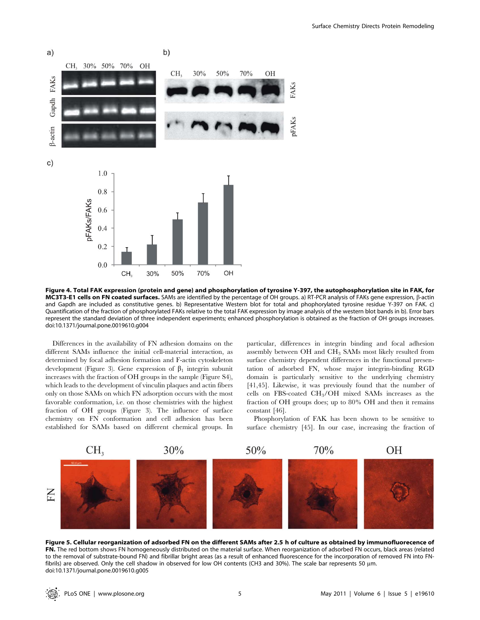

Figure 4. Total FAK expression (protein and gene) and phosphorylation of tyrosine Y-397, the autophosphorylation site in FAK, for MC3T3-E1 cells on FN coated surfaces. SAMs are identified by the percentage of OH groups. a) RT-PCR analysis of FAKs gene expression,  $\beta$ -actin and Gapdh are included as constitutive genes. b) Representative Western blot for total and phophorylated tyrosine residue Y-397 on FAK. c) Quantification of the fraction of phosphorylated FAKs relative to the total FAK expression by image analysis of the western blot bands in b). Error bars represent the standard deviation of three independent experiments; enhanced phosphorylation is obtained as the fraction of OH groups increases. doi:10.1371/journal.pone.0019610.g004

Differences in the availability of FN adhesion domains on the different SAMs influence the initial cell-material interaction, as determined by focal adhesion formation and F-actin cytoskeleton development (Figure 3). Gene expression of  $\beta_1$  integrin subunit increases with the fraction of OH groups in the sample (Figure S4), which leads to the development of vinculin plaques and actin fibers only on those SAMs on which FN adsorption occurs with the most favorable conformation, i.e. on those chemistries with the highest fraction of OH groups (Figure 3). The influence of surface chemistry on FN conformation and cell adhesion has been established for SAMs based on different chemical groups. In

particular, differences in integrin binding and focal adhesion assembly between  $\rm OH$  and  $\rm CH_3$  SAMs most likely resulted from surface chemistry dependent differences in the functional presentation of adsorbed FN, whose major integrin-binding RGD domain is particularly sensitive to the underlying chemistry [41,45]. Likewise, it was previously found that the number of cells on FBS-coated CH3/OH mixed SAMs increases as the fraction of OH groups does; up to 80% OH and then it remains constant [46].

Phosphorylation of FAK has been shown to be sensitive to surface chemistry [45]. In our case, increasing the fraction of



Figure 5. Cellular reorganization of adsorbed FN on the different SAMs after 2.5 h of culture as obtained by immunofluorecence of FN. The red bottom shows FN homogeneously distributed on the material surface. When reorganization of adsorbed FN occurs, black areas (related to the removal of substrate-bound FN) and fibrillar bright areas (as a result of enhanced fluorescence for the incorporation of removed FN into FNfibrils) are observed. Only the cell shadow in observed for low OH contents (CH3 and 30%). The scale bar represents 50  $\mu$ m. doi:10.1371/journal.pone.0019610.g005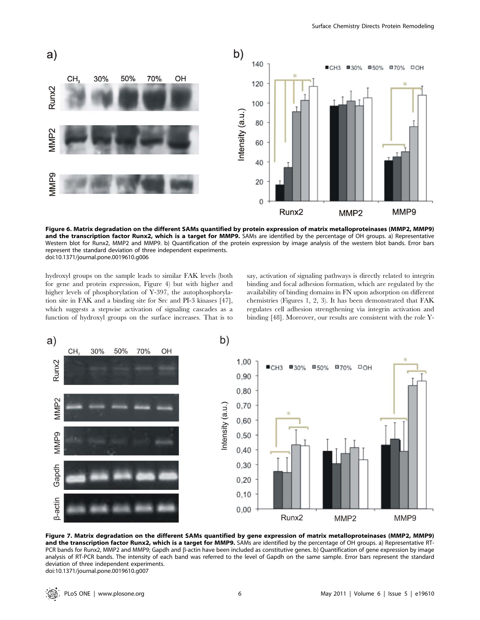

Figure 6. Matrix degradation on the different SAMs quantified by protein expression of matrix metalloproteinases (MMP2, MMP9) and the transcription factor Runx2, which is a target for MMP9. SAMs are identified by the percentage of OH groups. a) Representative Western blot for Runx2, MMP2 and MMP9. b) Quantification of the protein expression by image analysis of the western blot bands. Error bars represent the standard deviation of three independent experiments. doi:10.1371/journal.pone.0019610.g006

hydroxyl groups on the sample leads to similar FAK levels (both for gene and protein expression, Figure 4) but with higher and higher levels of phosphorylation of Y-397, the autophosphorylation site in FAK and a binding site for Src and PI-3 kinases [47], which suggests a stepwise activation of signaling cascades as a function of hydroxyl groups on the surface increases. That is to say, activation of signaling pathways is directly related to integrin binding and focal adhesion formation, which are regulated by the availability of binding domains in FN upon adsorption on different chemistries (Figures 1, 2, 3). It has been demonstrated that FAK regulates cell adhesion strengthening via integrin activation and binding [48]. Moreover, our results are consistent with the role Y-



Figure 7. Matrix degradation on the different SAMs quantified by gene expression of matrix metalloproteinases (MMP2, MMP9) and the transcription factor Runx2, which is a target for MMP9. SAMs are identified by the percentage of OH groups. a) Representative RT-PCR bands for Runx2, MMP2 and MMP9; Gapdh and  $\beta$ -actin have been included as constitutive genes. b) Quantification of gene expression by image analysis of RT-PCR bands. The intensity of each band was referred to the level of Gapdh on the same sample. Error bars represent the standard deviation of three independent experiments. doi:10.1371/journal.pone.0019610.g007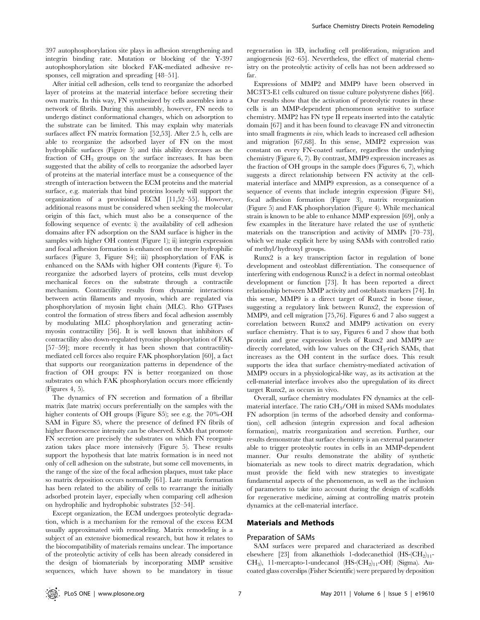397 autophosphorylation site plays in adhesion strengthening and integrin binding rate. Mutation or blocking of the Y-397 autophosphorylation site blocked FAK-mediated adhesive responses, cell migration and spreading [48–51].

After initial cell adhesion, cells tend to reorganize the adsorbed layer of proteins at the material interface before secreting their own matrix. In this way, FN synthesized by cells assembles into a network of fibrils. During this assembly, however, FN needs to undergo distinct conformational changes, which on adsorption to the substrate can be limited. This may explain why materials surfaces affect FN matrix formation [52,53]. After 2.5 h, cells are able to reorganize the adsorbed layer of FN on the most hydrophilic surfaces (Figure 5) and this ability decreases as the fraction of  $CH<sub>3</sub>$  groups on the surface increases. It has been suggested that the ability of cells to reorganize the adsorbed layer of proteins at the material interface must be a consequence of the strength of interaction between the ECM proteins and the material surface, e.g. materials that bind proteins loosely will support the organization of a provisional ECM [11,52–55]. However, additional reasons must be considered when seeking the molecular origin of this fact, which must also be a consequence of the following sequence of events: i) the availability of cell adhesion domains after FN adsorption on the SAM surface is higher in the samples with higher OH content (Figure 1); ii) integrin expression and focal adhesion formation is enhanced on the more hydrophilic surfaces (Figure 3, Figure S4); iii) phosphorylation of FAK is enhanced on the SAMs with higher OH contents (Figure 4). To reorganize the adsorbed layers of proteins, cells must develop mechanical forces on the substrate through a contractile mechanism. Contractility results from dynamic interactions between actin filaments and myosin, which are regulated via phosphorylation of myosin light chain (MLC). Rho GTPases control the formation of stress fibers and focal adhesion assembly by modulating MLC phosphorylation and generating actinmyosin contractility [56]. It is well known that inhibitors of contractility also down-regulated tyrosine phosphorylation of FAK [57–59]; more recently it has been shown that contractilitymediated cell forces also require FAK phosphorylation [60], a fact that supports our reorganization patterns in dependence of the fraction of OH groups: FN is better reorganized on those substrates on which FAK phosphorylation occurs more efficiently (Figures 4, 5).

The dynamics of FN secretion and formation of a fibrillar matrix (late matrix) occurs preferentially on the samples with the higher contents of OH groups (Figure S5); see e.g. the 70%-OH SAM in Figure S5, where the presence of defined FN fibrils of higher fluorescence intensity can be observed. SAMs that promote FN secretion are precisely the substrates on which FN reorganization takes place more intensively (Figure 5). These results support the hypothesis that late matrix formation is in need not only of cell adhesion on the substrate, but some cell movements, in the range of the size of the focal adhesion plaques, must take place so matrix deposition occurs normally [61]. Late matrix formation has been related to the ability of cells to rearrange the initially adsorbed protein layer, especially when comparing cell adhesion on hydrophilic and hydrophobic substrates [52–54].

Except organization, the ECM undergoes proteolytic degradation, which is a mechanism for the removal of the excess ECM usually approximated with remodeling. Matrix remodeling is a subject of an extensive biomedical research, but how it relates to the biocompatibility of materials remains unclear. The importance of the proteolytic activity of cells has been already considered in the design of biomaterials by incorporating MMP sensitive sequences, which have shown to be mandatory in tissue

regeneration in 3D, including cell proliferation, migration and angiogenesis [62–65]. Nevertheless, the effect of material chemistry on the proteolytic activity of cells has not been addressed so far.

Expressions of MMP2 and MMP9 have been observed in MC3T3-E1 cells cultured on tissue culture polystyrene dishes [66]. Our results show that the activation of proteolytic routes in these cells is an MMP-dependent phenomenon sensitive to surface chemistry. MMP2 has FN type II repeats inserted into the catalytic domain [67] and it has been found to cleavage FN and vitronectin into small fragments in vivo, which leads to increased cell adhesion and migration [67,68]. In this sense, MMP2 expression was constant on every FN-coated surface, regardless the underlying chemistry (Figure 6, 7). By contrast, MMP9 expression increases as the fraction of OH groups in the sample does (Figures 6, 7), which suggests a direct relationship between FN activity at the cellmaterial interface and MMP9 expression, as a consequence of a sequence of events that include integrin expression (Figure S4), focal adhesion formation (Figure 3), matrix reorganization (Figure 5) and FAK phosphorylation (Figure 4). While mechanical strain is known to be able to enhance MMP expression [69], only a few examples in the literature have related the use of synthetic materials on the transcription and activity of MMPs [70–73], which we make explicit here by using SAMs with controlled ratio of methyl/hydroxyl groups.

Runx2 is a key transcription factor in regulation of bone development and osteoblast differentiation. The consequence of interfering with endogenous Runx2 is a defect in normal osteoblast development or function [73]. It has been reported a direct relationship between MMP activity and osteblasts markers [74]. In this sense, MMP9 is a direct target of Runx2 in bone tissue, suggesting a regulatory link between Runx2, the expression of MMP9, and cell migration [75,76]. Figures 6 and 7 also suggest a correlation between Runx2 and MMP9 activation on every surface chemistry. That is to say, Figures 6 and 7 show that both protein and gene expression levels of Runx2 and MMP9 are directly correlated, with low values on the  $CH<sub>3</sub>$ -rich SAMs, that increases as the OH content in the surface does. This result supports the idea that surface chemistry-mediated activation of MMP9 occurs in a physiological-like way, as its activation at the cell-material interface involves also the upregulation of its direct target Runx2, as occurs in vivo.

Overall, surface chemistry modulates FN dynamics at the cellmaterial interface. The ratio CH3/OH in mixed SAMs modulates FN adsorption (in terms of the adsorbed density and conformation), cell adhesion (integrin expression and focal adhesion formation), matrix reorganization and secretion. Further, our results demonstrate that surface chemistry is an external parameter able to trigger proteolytic routes in cells in an MMP-dependent manner. Our results demonstrate the ability of synthetic biomaterials as new tools to direct matrix degradation, which must provide the field with new strategies to investigate fundamental aspects of the phenomenon, as well as the inclusion of parameters to take into account during the design of scaffolds for regenerative medicine, aiming at controlling matrix protein dynamics at the cell-material interface.

# Materials and Methods

# Preparation of SAMs

SAM surfaces were prepared and characterized as described elsewhere [23] from alkanethiols 1-dodecanethiol  $(HS-CH<sub>2</sub>)<sub>11</sub>$ - $CH<sub>3</sub>$ ), 11-mercapto-1-undecanol (HS- $(CH<sub>2</sub>)<sub>11</sub>$ -OH) (Sigma). Aucoated glass coverslips (Fisher Scientific) were prepared by deposition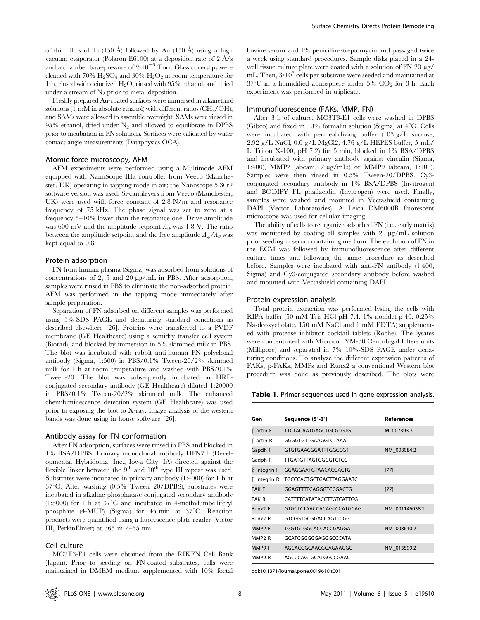of thin films of Ti (150 Å) followed by Au (150 Å) using a high vacuum evaporator (Polaron E6100) at a deposition rate of  $2 \text{ Å/s}$ and a chamber base-pressure of  $2.10^{-6}$  Torr. Glass coverslips were cleaned with 70%  $H_2SO_4$  and 30%  $H_2O_2$  at room temperature for 1 h, rinsed with deionized H2O, rinsed with 95% ethanol, and dried under a stream of  $N_2$  prior to metal deposition.

Freshly prepared Au-coated surfaces were immersed in alkanethiol solutions (1 mM in absolute ethanol) with different ratios  $\rm (CH_{3}/OH)$ , and SAMs were allowed to assemble overnight. SAMs were rinsed in 95% ethanol, dried under  $N_2$  and allowed to equilibrate in DPBS prior to incubation in FN solutions. Surfaces were validated by water contact angle measurements (Dataphysics OCA).

#### Atomic force microscopy, AFM

AFM experiments were performed using a Multimode AFM equipped with NanoScope IIIa controller from Veeco (Manchester, UK) operating in tapping mode in air; the Nanoscope 5.30r2 software version was used. Si-cantilevers from Veeco (Manchester, UK) were used with force constant of 2.8 N/m and resonance frequency of 75 kHz. The phase signal was set to zero at a frequency 5–10% lower than the resonance one. Drive amplitude was 600 mV and the amplitude setpoint  $A_{sb}$  was 1.8 V. The ratio between the amplitude setpoint and the free amplitude  $A_{sb}/A_0$  was kept equal to 0.8.

#### Protein adsorption

FN from human plasma (Sigma) was adsorbed from solutions of concentrations of 2, 5 and 20  $\mu$ g/mL in PBS. After adsorption, samples were rinsed in PBS to eliminate the non-adsorbed protein. AFM was performed in the tapping mode immediately after sample preparation.

Separation of FN adsorbed on different samples was performed using 5%-SDS PAGE and denaturing standard conditions as described elsewhere [26]. Proteins were transferred to a PVDF membrane (GE Healthcare) using a semidry transfer cell system (Biorad), and blocked by immersion in 5% skimmed milk in PBS. The blot was incubated with rabbit anti-human FN polyclonal antibody (Sigma, 1:500) in PBS/0.1% Tween-20/2% skimmed milk for 1 h at room temperature and washed with PBS/0.1% Tween-20. The blot was subsequently incubated in HRPconjugated secondary antibody (GE Healthcare) diluted 1:20000 in PBS/0.1% Tween-20/2% skimmed milk. The enhanced chemiluminescence detection system (GE Healthcare) was used prior to exposing the blot to X-ray. Image analysis of the western bands was done using in house software [26].

# Antibody assay for FN conformation

After FN adsorption, surfaces were rinsed in PBS and blocked in 1% BSA/DPBS. Primary monoclonal antibody HFN7.1 (Developmental Hybridoma, Inc., Iowa City, IA) directed against the flexible linker between the  $9<sup>th</sup>$  and  $10<sup>th</sup>$  type III repeat was used. Substrates were incubated in primary antibody (1:4000) for 1 h at  $37^{\circ}$ C. After washing (0.5% Tween 20/DPBS), substrates were incubated in alkaline phosphatase conjugated secondary antibody (1:5000) for 1 h at  $37^{\circ}$ C and incubated in 4-methylumbelliferyl phosphate (4-MUP) (Sigma) for  $45$  min at  $37^{\circ}$ C. Reaction products were quantified using a fluorescence plate reader (Victor III, PerkinElmer) at 365 m /465 nm.

#### Cell culture

MC3T3-E1 cells were obtained from the RIKEN Cell Bank (Japan). Prior to seeding on FN-coated substrates, cells were maintained in DMEM medium supplemented with 10% foetal bovine serum and 1% penicillin-streptomycin and passaged twice a week using standard procedures. Sample disks placed in a 24 well tissue culture plate were coated with a solution of  $FN$  20  $\mu$ g/ mL. Then,  $3 \cdot 10^3$  cells per substrate were seeded and maintained at  $37^{\circ}$ C in a humidified atmosphere under 5% CO<sub>2</sub> for 3 h. Each experiment was performed in triplicate.

#### Immunofluorescence (FAKs, MMP, FN)

After 3 h of culture, MC3T3-E1 cells were washed in DPBS (Gibco) and fixed in 10% formalin solution (Sigma) at  $4^{\circ}$ C. Cells were incubated with permeabilizing buffer (103 g/L sucrose, 2.92 g/L NaCl, 0.6 g/L MgCl2, 4.76 g/L HEPES buffer, 5 mL/ L Triton X-100, pH 7.2) for 5 min, blocked in 1% BSA/DPBS and incubated with primary antibody against vinculin (Sigma, 1:400), MMP2 (abcam, 2 µg/mL;) or MMP9 (abcam, 1:100). Samples were then rinsed in 0.5% Tween-20/DPBS. Cy3 conjugated secondary antibody in 1% BSA/DPBS (Invitrogen) and BODIPY FL phallacidin (Invitrogen) were used. Finally, samples were washed and mounted in Vectashield containing DAPI (Vector Laboratories). A Leica DM6000B fluorescent microscope was used for cellular imaging.

The ability of cells to reorganize adsorbed FN (i.e., early matrix) was monitored by coating all samples with  $20 \mu g/mL$  solution prior seeding in serum containing medium. The evolution of FN in the ECM was followed by immunofluorescence after different culture times and following the same procedure as described before. Samples were incubated with anti-FN antibody (1:400, Sigma) and Cy3-conjugated secondary antibody before washed and mounted with Vectashield containing DAPI.

#### Protein expression analysis

Total protein extraction was performed lysing the cells with RIPA buffer (50 mM Tris-HCl pH 7.4, 1% nonidet p-40, 0.25% Na-deoxycholate, 150 mM NaCl and 1 mM EDTA) supplemented with protease inhibitor cocktail tablets (Roche). The lysates were concentrated with Microcon YM-30 Centrifugal Filters units (Millipore) and separated in 7%–10%-SDS PAGE under denaturing conditions. To analyze the different expression patterns of FAKs, p-FAKs, MMPs and Runx2 a conventional Western blot procedure was done as previously described. The blots were

Table 1. Primer sequences used in gene expression analysis.

| Gen                 | Sequence (5'-3')                | <b>References</b> |
|---------------------|---------------------------------|-------------------|
| $\beta$ -actin F    | <b>TTCTACAATGAGCTGCGTGTG</b>    | M 007393.3        |
| $\beta$ -actin R    | GGGGTGTTGAAGGTCTAAA             |                   |
| Gapdh F             | GTGTGAACGGATTTGGCCGT            | NM 008084.2       |
| Gadph R             | <b>TTGATGTTAGTGGGGTCTCG</b>     |                   |
| $\beta$ integrin F  | GGAGGAATGTAACACGACTG            | [77]              |
| $\beta$ integrin R  | <b>TGCCCACTGCTGACTTAGGAATC</b>  |                   |
| <b>FAK F</b>        | GGAGTTTTCAGGGTCCGACTG           | $[77]$            |
| <b>FAK R</b>        | <b>CATTTTCATATACCTTGTCATTGG</b> |                   |
| Runx <sub>2</sub> F | GTGCTCTAACCACAGTCCATGCAG        | NM 001146038.1    |
| Runx <sub>2</sub> R | GTCGGTGCGGACCAGTTCGG            |                   |
| MMP <sub>2</sub> F  | TGGTGTGGCACCACCGAGGA            | NM 008610.2       |
| MMP <sub>2</sub> R  | GCATCGGGGGAGGGCCCATA            |                   |
| MMP9 F              | AGCACGGCAACGGAGAAGGC            | NM 013599.2       |
| MMP9 R              | AGCCCAGTGCATGGCCGAAC            |                   |

doi:10.1371/journal.pone.0019610.t001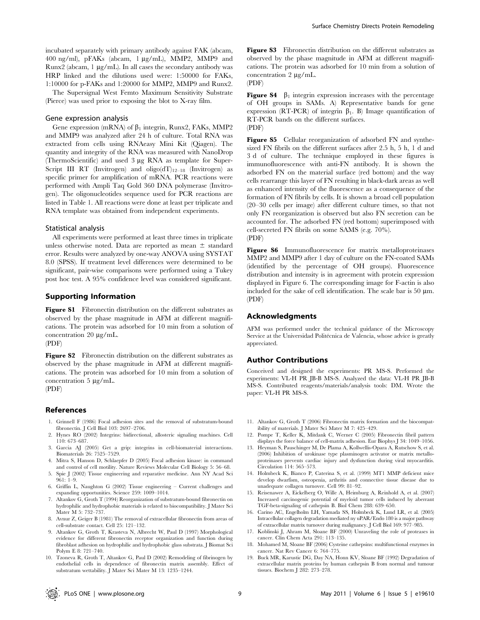incubated separately with primary antibody against FAK (abcam, 400 ng/ml), pFAKs (abcam, 1 mg/mL), MMP2, MMP9 and Runx2 (abcam,  $1 \mu g/mL$ ). In all cases the secondary antibody was HRP linked and the dilutions used were: 1:50000 for FAKs, 1:10000 for p-FAKs and 1:20000 for MMP2, MMP9 and Runx2.

The Supersignal West Femto Maximum Sensitivity Substrate (Pierce) was used prior to exposing the blot to X-ray film.

#### Gene expression analysis

Gene expression (mRNA) of  $\beta_1$  integrin, Runx2, FAKs, MMP2 and MMP9 was analyzed after 24 h of culture. Total RNA was extracted from cells using RNAeasy Mini Kit (Qiagen). The quantity and integrity of the RNA was measured with NanoDrop (ThermoScientific) and used 3 mg RNA as template for Super-Script III RT (Invitrogen) and oligo( $dT$ <sub>12–18</sub> (Invitrogen) as specific primer for amplification of mRNA. PCR reactions were performed with Ampli Taq Gold 360 DNA polymerase (Invitrogen). The oligonucleotides sequence used for PCR reactions are listed in Table 1. All reactions were done at least per triplicate and RNA template was obtained from independent experiments.

#### Statistical analysis

All experiments were performed at least three times in triplicate unless otherwise noted. Data are reported as mean  $\pm$  standard error. Results were analyzed by one-way ANOVA using SYSTAT 8.0 (SPSS). If treatment level differences were determined to be significant, pair-wise comparisons were performed using a Tukey post hoc test. A 95% confidence level was considered significant.

#### Supporting Information

Figure S1 Fibronectin distribution on the different substrates as observed by the phase magnitude in AFM at different magnifications. The protein was adsorbed for 10 min from a solution of concentration 20  $\mu$ g/mL.

(PDF)

Figure S2 Fibronectin distribution on the different substrates as observed by the phase magnitude in AFM at different magnifications. The protein was adsorbed for 10 min from a solution of concentration  $5 \mu g/mL$ .

(PDF)

# References

- 1. Grinnell F (1986) Focal adhesion sites and the removal of substratum-bound fibronectin. J Cell Biol 103: 2697–2706.
- 2. Hynes RO (2002) Integrins: bidirectional, allosteric signaling machines. Cell 110: 673–687.
- 3. García AJ (2005) Get a grip: integrins in cell-biomaterial interactions. Biomaterials 26: 7525–7529.
- 4. Mitra S, Hanson D, Schlaepfer D (2005) Focal adhesion kinase: in command and control of cell motility. Nature Reviews Molecular Cell Biology 5: 56–68.
- 5. Spie J (2002) Tissue engineering and reparative medicine. Ann NY Acad Sci 961: 1–9.
- 6. Griffin L, Naughton G (2002) Tissue engineering Current challenges and expanding opportunities. Science 259: 1009–1014.
- 7. Altankov G, Groth T (1994) Reorganization of substratum-bound fibronectin on hydrophilic and hydrophobic materials is related to biocompatibility. J Mater Sci Mater M 5: 732–737.
- 8. Avnur Z, Geiger B (1981) The removal of extracellular fibronectin from areas of cell-substrate contact. Cell 25: 121–132.
- 9. Altankov G, Groth T, Krasteva N, Albrecht W, Paul D (1997) Morphological evidence for different fibronectin receptor organization and function during fibroblast adhesion on hydrophilic and hydrophobic glass substrata. J Biomat Sci Polym E 8: 721–740.
- 10. Tzoneva R, Groth T, Altankov G, Paul D (2002) Remodeling of fibrinogen by endothelial cells in dependence of fibronectin matrix assembly. Effect of substratum wettability. J Mater Sci Mater M 13: 1235–1244.

Figure S3 Fibronectin distribution on the different substrates as observed by the phase magnitude in AFM at different magnifications. The protein was adsorbed for 10 min from a solution of concentration  $2 \mu g/mL$ .

(PDF)

**Figure S4**  $\beta_1$  integrin expression increases with the percentage of OH groups in SAMs. A) Representative bands for gene expression (RT-PCR) of integrin  $\beta_1$ . B) Image quantification of RT-PCR bands on the different surfaces. (PDF)

Figure S5 Cellular reorganization of adsorbed FN and synthesized FN fibrils on the different surfaces after 2.5 h, 5 h, 1 d and 3 d of culture. The technique employed in these figures is immunofluorescence with anti-FN antibody. It is shown the adsorbed FN on the material surface (red bottom) and the way cells rearrange this layer of FN resulting in black-dark areas as well as enhanced intensity of the fluorescence as a consequence of the formation of FN fibrils by cells. It is shown a broad cell population (20–30 cells per image) after different culture times, so that not only FN reorganization is observed but also FN secretion can be accounted for. The adsorbed FN (red bottom) superimposed with cell-secreted FN fibrils on some SAMS (e.g. 70%). (PDF)

Figure S6 Immunofluorescence for matrix metalloproteinases MMP2 and MMP9 after 1 day of culture on the FN-coated SAMs (identified by the percentage of OH groups). Fluorescence distribution and intensity is in agreement with protein expression displayed in Figure 6. The corresponding image for F-actin is also included for the sake of cell identification. The scale bar is 50  $\mu$ m. (PDF)

# Acknowledgments

AFM was performed under the technical guidance of the Microscopy Service at the Universidad Politécnica de Valencia, whose advice is greatly appreciated.

#### Author Contributions

Conceived and designed the experiments: PR MS-S. Performed the experiments: VL-H PR JB-B MS-S. Analyzed the data: VL-H PR JB-B MS-S. Contributed reagents/materials/analysis tools: DM. Wrote the paper: VL-H PR MS-S.

- 11. Altankov G, Groth T (2006) Fibronectin matrix formation and the biocompatibility of materials. J Mater Sci Mater M 7: 425–429.
- 12. Pompe T, Keller K, Mitdank C, Werner C (2005) Fibronectin fibril pattern displays the force balance of cell-matrix adhesion. Eur Biophys J 34: 1049–1056.
- 13. Heyman S, Pauschinger M, De Plama A, Kollwellis-Opara A, Rutschow S, et al. (2006) Inhibition of urokinase type plasminogen activator or matrix metalloproteinases prevents cardiac injury and dysfunction during viral myocarditis. Circulation 114: 565–573.
- 14. Holmbeck K, Bianco P, Caterina S, et al. (1999) MT1 MMP deficient mice develop dwarfism, osteopenia, arthritis and connective tissue disease due to unadequate collagen turnover. Cell 99: 81–92.
- 15. Reisenawer A, Eickelberg O, Wille A, Heimburg A, Reinhold A, et al. (2007) Increased carcinogenic potential of myeloid tumor cells induced by aberrant TGF-beta-signaling of cathepsin B. Biol Chem 288: 639–650.
- 16. Carino AC, Engelholm LH, Yamada SS, Holmbeck K, Lund LR, et al. (2005) Intracellular collagen degradation mediated ny uPAR/Endo 180 is a major pathway of extracellular matrix turnover during malignancy. J Cell Biol 169: 977–985.
- 17. Koblinski J, Ahram M, Sloane BF (2000) Unraveling the role of proteases in cancer. Clin Chem Acta 291: 113–135.
- 18. Mohamed M, Sloane BF (2006) Cysteine cathepsins: multifunctional enzymes in cancer. Nat Rev Cancer 6: 764–775.
- 19. Buck MR, Karustic DG, Day NA, Honn KV, Sloane BF (1992) Degradation of extracellular matrix proteins by human cathepsin B from normal and tumour tissues. Biochem J 282: 273–278.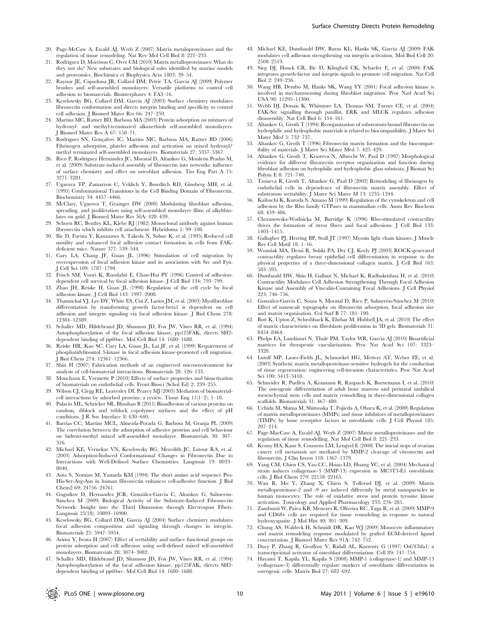- 21. Rodríguez D, Morrison C, Over CM (2010) Matrix metalloproteinases: What do they not do? New substrates and biological roles identified by murine models and proteomics. Biochimica et Biophysica Acta 1803: 39–54.
- 22. Raynor JE, Capadona JR, Collard DM, Petrie TA, García AJ (2009) Polymer brushes and self-assembled monolayers: Versatile platforms to control cell adhesion to biomaterials. Biointerphases 4: FA3–16.
- 23. Keselowsky BG, Collard DM, Garcia AJ (2003) Surface chemistry modulates fibronectin conformation and directs integrin binding and specificity to control cell adhesion. J Biomed Mater Res 66: 247–259.
- 24. Martins MC, Ratner BD, Barbosa MA (2003) Protein adsorption on mixtures of hydroxyl- and methyl-terminated alkanethiols self-assembled monolayers. J Biomed Mater Res A 67: 158–71.
- 25. Rodrigues SN, Gonçalves IC, Martins MC, Barbosa MA, Ratner BD (2006) Fibrinogen adsorption, platelet adhesion and activation on mixed hydroxyl/ methyl terminated self-assembled monolayers. Biomaterials 27: 5357–5367.
- 26. Rico P, Rodríguez Hernández JC, Moratal D, Altankov G, Monleón Pradas M, et al. (2009) Substrate-induced assembly of fibronectin into networks: influence of surface chemistry and effect on osteoblast adhesion. Tiss Eng Part A 15: 3271–3281.
- 27. Ugarova TP, Zamarron C, Veklich Y, Bowditch RD, Ginsberg MH, et al. (1995) Conformational Transitions in the Cell Binding Domain of Fibronectin. Biochemistry 34: 4457–4466.
- 28. McClary, Ugarova T, Grainger DW (2000) Modulating fibroblast adhesion, spreading, and proliferation using self-assembled monolayer films of alkylthiolates on gold. J Biomed Mater Res 50A: 428–439.
- 29. Schoen RC, Bentley KL, Klebe RJ (1982) Monoclonal antibody against human fibronectin which inhibits cell attachment. Hybridoma 1: 99–108.
- 30. Ilic D, Furuta Y, Kanazawa S, Takeda N, Sobue K, et al. (1995) Reduced cell motility and enhanced focal adhesion contact formation in cells from FAKdeficient mice. Nature 377: 539–544.
- 31. Cary LA, Chang JF, Guan JL (1996) Stimulation of cell migration by overexpression of focal adhesion kinase and its association with Src and Fyn. J Cell Sci 109: 1787–1794.
- 32. Frisch SM, Vuori K, Ruoslahti E, Chan-Hui PY (1996) Control of adhesiondependent cell survival by focal adhesion kinase. J Cell Biol 134: 793–799.
- 33. Zhao JH, Reiske H, Guan JL (1998) Regulation of the cell cycle by focal adhesion kinase. J Cell Biol 143: 1997–2008.
- 34. Thannickal VJ, Lee DY, White ES, Cui Z, Larios JM, et al. (2003) Myofibroblast differentiation by transforming growth factor-beta1 is dependent on cell adhesion and integrin signaling via focal adhesion kinase. J Biol Chem 278: 12384–12389.
- 35. Schaller MD, Hildebrand JD, Shannon JD, Fox JW, Vines RR, et al. (1994) Autophosphorylation of the focal adhesion kinase, pp125FAK, directs SH2 dependent binding of pp60src. Mol Cell Biol 14: 1680–1688.
- 36. Reiske HR, Kao SC, Cary LA, Guan JL, Lai JF, et al. (1999) Requirement of phosphatidylinositol 3-kinase in focal adhesion kinase-promoted cell migration. J Biol Chem 274: 12361–12366.
- 37. Shin H (2007) Fabrication methods of an engineered microenvironment for analysis of cell-biomaterial interactions. Biomaterials 28: 126–133.
- 38. Monchaux E, Vermette P (2010) Effects of surface properties and bioactivation of biomaterials on endothelial cells. Front Biosci (Schol Ed) 2: 239–255.
- 39. Wilson CJ, Clegg RE, Leavesley DI, Pearcy MJ (2005) Mediation of biomaterialcell interactions by adsorbed proteins: a review. Tissue Eng 11(1–2): 1–18.
- 40. Palacio ML, Schricker SR, Bhushan B (2011) Bioadhesion of various proteins on random, diblock and triblock copolymer surfaces and the effect of pH conditions. J R Soc Interface 8: 630–640.
- 41. Barrias CC, Martins MCL, Almeida-Porada G, Barbosa M, Granja PL (2009) The correlation between the adsorption of adhesive proteins and cell behaviour on hidroxi-methyl mixed self-assembled monolayer. Biomaterials 30: 307– 316.
- 42. Michael KE, Vernekar VN, Keselowsky BG, Meredith JC, Latour RA, et al. (2003) Adsorption-Induced Conformational Changes in Fibronectin Due to Interactions with Well-Defined Surface Chemistries. Langmuir 19: 8033– 8040.
- 43. Aota S, Nomizu M, Yamada KM (1994) The short amino acid sequence Pro-His-Ser-Arg-Asn in human fibronectin enhances cell-adhesive function. J Biol Chem2 69: 24756–24761.
- 44. Gugutkov D, Hernandez JCR, González-García C, Altankov G, Salmerón-Sánchez M (2009) Biological Activity of the Substrate-Induced Fibronectin Network: Insight into the Third Dimension through Electrospun Fibers. Langmuir 25(18): 10893–10900.
- 45. Keselowsky BG, Collard DM, García AJ (2004) Surface chemistry modulates focal adhesion composition and signaling through changes in integrin. Biomaterials 25: 5947–5954.
- 46. Arima Y, Iwata H (2007) Effect of wettability and surface functional groups on protein adsorption and cell adhesion using well-defined mixed self-assembled monolayers. Biomaterials 28: 3074–3082.
- 47. Schaller MD, Hildebrand JD, Shannon JD, Fox JW, Vines RR, et al. (1994) Autophosphorylation of the focal adhesion kinase, pp125FAK, directs SH2 dependent binding of pp60src. Mol Cell Biol 14: 1680–1688.
- 48. Michael KE, Dumbauld DW, Burns KL, Hanks SK, García AJ (2009) FAK modulates cell adhesion strengthening via integrin activation. Mol Biol Cell 20: 2508–2519.
- 49. Sieg DJ, Hauck CR, Ilic D, Klingbeil CK, Schaefer E, et al. (2000) FAK integrates growth-factor and integrin signals to promote cell migration. Nat Cell Biol 2: 249–256.
- 50. Wang HB, Dembo M, Hanks SK, Wang YY (2001) Focal adhesion kinase is involved in mechanosensing during fibroblast migration. Proc Natl Acad Sci USA 98: 11295–11300.
- 51. Webb DJ, Donais K, Whitmore LA, Thomas SM, Turner CE, et al. (2004) FAK-Src signalling through paxillin, ERK and MLCK regulates adhesion disassembly. Nat Cell Biol 6: 154–161.
- 52. Altankov G, Groth T (1994) Reorganization of substratum-bound fibronectin on hydrophilic and hydrophobic materials is related to biocompatibility. J Mater Sci Mater Med 5: 732–737.
- 53. Altankov G, Groth T (1996) Fibronectin matrix formation and the biocompatibility of materials. J Mater Sci Mater Med 7: 425–429.
- 54. Altankov G, Groth T, Krasteva N, Albrecht W, Paul D (1997) Morphological evidence for different fibronectin receptor organization and function during fibroblast adhesion on hydrophilic and hydrophobic glass substrata. J Biomat Sci Polym E 8: 721–740.
- 55. Tzoneva R, Groth T, Altankov G, Paul D (2002) Remodeling of fibrinogen by endothelial cells in dependence of fibronectin matrix assembly. Effect of substratum wettability. J Mater Sci Mater M 13: 1235–1244.
- 56. Kaibuchi K, Kuroda S, Amano M (1999) Regulation of the cytoskeleton and cell adhesion by the Rho family GTPases in mammalian cells. Annu Rev Biochem 68: 459–486.
- 57. Chrzanowska-Wodnicka M, Burridge K (1996) Rho-stimulated contractility drives the formation of stress fibers and focal adhesions. J Cell Biol 133: 1403–1415.
- 58. Gallagher PJ, Herring BP, Stull JT (1997) Myosin light chain kinases. J Muscle Res Cell Motil 18: 1–16.
- 59. Wozniak MA, Desai R, Solski PA, Der CJ, Keely PJ (2003) ROCK-generated contractility regulates breast epithelial cell differentiation in response to the physical properties of a three-dimensional collagen matrix. J Cell Biol 163: 583–595.
- 60. Dumbauld DW, Shin H, Gallant N, Michael K, Radhakrishna H, et al. (2010) Contractility Modulates Cell Adhesion Strengthening Through Focal Adhesion Kinase and Assembly of Vinculin-Containing Focal Adhesions. J Cell Physiol 223: 746–756.
- 61. González-García C, Sousa S, Moratal D, Rico P, Salmerón-Sánchez M (2010) Effect of nanoscale topography on fibronectin adsorption, focal adhesion size and matrix organisation. Col Surf B 77: 181–190.
- 62. Bott K, Upton Z, Schrobback K, Ehrbar M, Hubbell JA, et al. (2010) The effect of matrix characteristics on fibroblasts proliferation in 3D gels. Biomaterials 31: 8454–8464.
- 63. Phelps EA, Landázuri N, Thulé PM, Taylor WR, García AJ (2010) Bioartificial matrices for therapeutic vascularization. Proc Nat Acad Sci 107: 3323– 3328.
- 64. Lutolf MP, Lauer-Fields JL, Schmoekel HG, Metters AT, Weber FE, et al. (2003) Synthetic matrix metalloproteinase-sensitive hydrogels for the conduction of tissue regeneration: engineering cell-invasion characteristics. Proc Nat Acad Sci 100: 5413–5418.
- 65. Schneider R, Puellen A, Kramann R, Raupach K, Bornemann I, et al. (2010) The osteogenic differentiation of adult bone marrow and perinatal umbilical mesenchymal stem cells and matrix remodelling in three-dimensional collagen scaffolds. Biomaterials 31: 467–480.
- 66. Uchida M, Shima M, Shimoaka T, Fujieda A, Obara K, et al. (2000) Regulation of matrix metalloproteinases (MMPs) and tissue inhibitors of metalloproteinases (TIMPs) by bone resorptive factors in osteoblastic cells. J Cell Physiol 185: 207–214.
- 67. Page-MacCaw A, Ewald AJ, Werb Z (2007) Matriz metalloproteinases and the regulation of tissue remodelling. Nat Mol Cell Biol 8: 221–233.
- 68. Kenny HA, Kaur S, Coussens LM, Lengyel E (2008) The inicial stops of ovarian cancer cell metastasis are mediated by MMP-2 cleavage of vitronectin and fibronectin. J Clin Invest 118: 1367–1379.
- 69. Yang CM, Chien CS, Yao CC, Hsiao LD, Huang YC, et al. (2004) Mechanical strain induces collagenase-3 (MMP-13) expresión in MC3T3-E1 osteoblastic cells. J Biol Chem 279: 22158–22165.
- 70. Wan R, Mo Y, Zhang X, Chien S, Tollerud DJ, et al. (2009) Matrix metalloproteinase-2 and -9 are induced differently by metal nanoparticles in human monocytes: The role of oxidative stress and protein tyrosine kinase activation. Toxicology and Applied Pharmacology 233: 276–285.
- 71. Zambuzzi W, Paiva KB, Menezes R, Oliveira RC, Taga R, et al. (2009) MMP-9 and CD68+ cells are required for tissue remodeling in response to natural hydroxyapatite. J Mol Hist 40: 301–309.
- 72. Chung AS, Waldeck H, Schmidt DR, Kao WJ (2009) Monocyte inflammatory and matrix remodeling response modulated by grafted ECM-derived ligand concentration. J Biomed Mater Res 91A: 742–752.
- 73. Ducy P, Zhang R, Geoffroy V, Ridall AL, Karsenty G (1997) Osf/Cbfa1: a transcripcional activator of osteoblast differentiation. Cell 89: 747–754.
- 74. Hayami T, Kapila YL, Kapila S (2008) MMP-1 (collagenase-1) and MMP-13 (collagenase-3) differentially regulate markers of osteoblastic differentiation in osteogenic cells. Matrix Biol 27: 682–692.